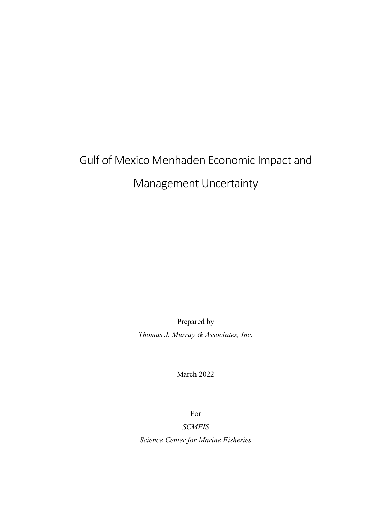# Gulf of Mexico Menhaden Economic Impact and Management Uncertainty

Prepared by *Thomas J. Murray & Associates, Inc.*

March 2022

For

## *SCMFIS*

*Science Center for Marine Fisheries*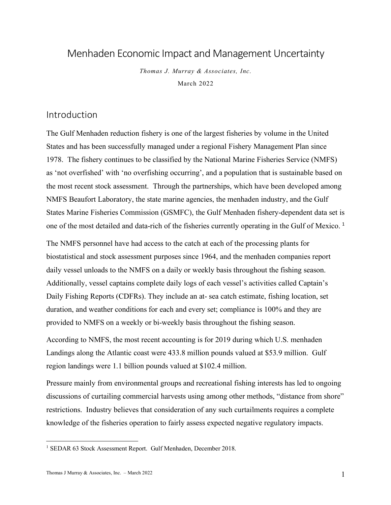# Menhaden Economic Impact and Management Uncertainty

*Thomas J. Murray & Associates, Inc.* March 2022

## Introduction

The Gulf Menhaden reduction fishery is one of the largest fisheries by volume in the United States and has been successfully managed under a regional Fishery Management Plan since 1978. The fishery continues to be classified by the National Marine Fisheries Service (NMFS) as 'not overfished' with 'no overfishing occurring', and a population that is sustainable based on the most recent stock assessment. Through the partnerships, which have been developed among NMFS Beaufort Laboratory, the state marine agencies, the menhaden industry, and the Gulf States Marine Fisheries Commission (GSMFC), the Gulf Menhaden fishery-dependent data set is one of the most detailed and data-rich of the fisheries currently operating in the Gulf of Mexico. <sup>1</sup>

The NMFS personnel have had access to the catch at each of the processing plants for biostatistical and stock assessment purposes since 1964, and the menhaden companies report daily vessel unloads to the NMFS on a daily or weekly basis throughout the fishing season. Additionally, vessel captains complete daily logs of each vessel's activities called Captain's Daily Fishing Reports (CDFRs). They include an at- sea catch estimate, fishing location, set duration, and weather conditions for each and every set; compliance is 100% and they are provided to NMFS on a weekly or bi-weekly basis throughout the fishing season.

According to NMFS, the most recent accounting is for 2019 during which U.S. menhaden Landings along the Atlantic coast were 433.8 million pounds valued at \$53.9 million. Gulf region landings were 1.1 billion pounds valued at \$102.4 million.

Pressure mainly from environmental groups and recreational fishing interests has led to ongoing discussions of curtailing commercial harvests using among other methods, "distance from shore" restrictions. Industry believes that consideration of any such curtailments requires a complete knowledge of the fisheries operation to fairly assess expected negative regulatory impacts.

 <sup>1</sup> SEDAR 63 Stock Assessment Report. Gulf Menhaden, December 2018.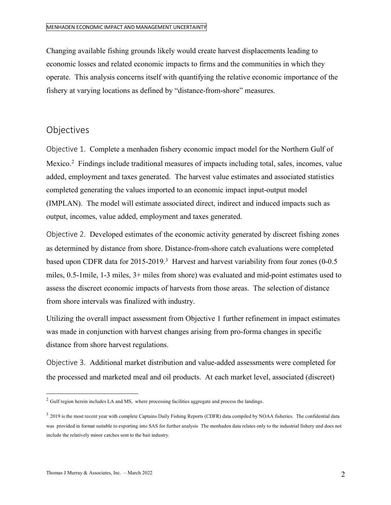Changing available fishing grounds likely would create harvest displacements leading to economic losses and related economic impacts to firms and the communities in which they operate. This analysis concerns itself with quantifying the relative economic importance of the fishery at varying locations as defined by "distance-from-shore" measures.

## **Objectives**

Objective 1. Complete a menhaden fishery economic impact model for the Northern Gulf of Mexico.<sup>2</sup> Findings include traditional measures of impacts including total, sales, incomes, value added, employment and taxes generated. The harvest value estimates and associated statistics completed generating the values imported to an economic impact input-output model (IMPLAN). The model will estimate associated direct, indirect and induced impacts such as output, incomes, value added, employment and taxes generated.

Objective 2. Developed estimates of the economic activity generated by discreet fishing zones as determined by distance from shore. Distance-from-shore catch evaluations were completed based upon CDFR data for 2015-2019.<sup>3</sup> Harvest and harvest variability from four zones (0-0.5) miles, 0.5-1mile, 1-3 miles, 3+ miles from shore) was evaluated and mid-point estimates used to assess the discreet economic impacts of harvests from those areas. The selection of distance from shore intervals was finalized with industry.

Utilizing the overall impact assessment from Objective 1 further refinement in impact estimates was made in conjunction with harvest changes arising from pro-forma changes in specific distance from shore harvest regulations.

Objective 3. Additional market distribution and value-added assessments were completed for the processed and marketed meal and oil products. At each market level, associated (discreet)

<sup>&</sup>lt;sup>2</sup> Gulf region herein includes LA and MS, where processing facilities aggregate and process the landings.

<sup>&</sup>lt;sup>3</sup> 2019 is the most recent year with complete Captains Daily Fishing Reports (CDFR) data compiled by NOAA fisheries. The confidential data was provided in format suitable to exporting into SAS for further analysis The menhaden data relates only to the industrial fishery and does not include the relatively minor catches sent to the bait industry.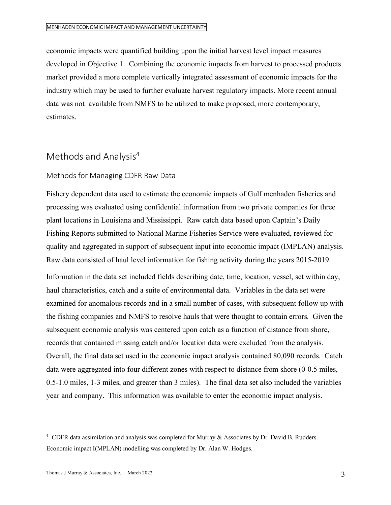economic impacts were quantified building upon the initial harvest level impact measures developed in Objective 1. Combining the economic impacts from harvest to processed products market provided a more complete vertically integrated assessment of economic impacts for the industry which may be used to further evaluate harvest regulatory impacts. More recent annual data was not available from NMFS to be utilized to make proposed, more contemporary, estimates.

# Methods and Analysis<sup>4</sup>

## Methods for Managing CDFR Raw Data

Fishery dependent data used to estimate the economic impacts of Gulf menhaden fisheries and processing was evaluated using confidential information from two private companies for three plant locations in Louisiana and Mississippi. Raw catch data based upon Captain's Daily Fishing Reports submitted to National Marine Fisheries Service were evaluated, reviewed for quality and aggregated in support of subsequent input into economic impact (IMPLAN) analysis. Raw data consisted of haul level information for fishing activity during the years 2015-2019.

Information in the data set included fields describing date, time, location, vessel, set within day, haul characteristics, catch and a suite of environmental data. Variables in the data set were examined for anomalous records and in a small number of cases, with subsequent follow up with the fishing companies and NMFS to resolve hauls that were thought to contain errors. Given the subsequent economic analysis was centered upon catch as a function of distance from shore, records that contained missing catch and/or location data were excluded from the analysis. Overall, the final data set used in the economic impact analysis contained 80,090 records. Catch data were aggregated into four different zones with respect to distance from shore (0-0.5 miles, 0.5-1.0 miles, 1-3 miles, and greater than 3 miles). The final data set also included the variables year and company. This information was available to enter the economic impact analysis.

 $\frac{1}{4}$ <sup>4</sup> CDFR data assimilation and analysis was completed for Murray & Associates by Dr. David B. Rudders. Economic impact I(MPLAN) modelling was completed by Dr. Alan W. Hodges.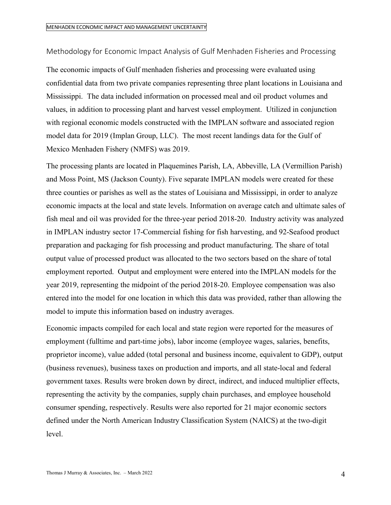Methodology for Economic Impact Analysis of Gulf Menhaden Fisheries and Processing

The economic impacts of Gulf menhaden fisheries and processing were evaluated using confidential data from two private companies representing three plant locations in Louisiana and Mississippi. The data included information on processed meal and oil product volumes and values, in addition to processing plant and harvest vessel employment. Utilized in conjunction with regional economic models constructed with the IMPLAN software and associated region model data for 2019 (Implan Group, LLC). The most recent landings data for the Gulf of Mexico Menhaden Fishery (NMFS) was 2019.

The processing plants are located in Plaquemines Parish, LA, Abbeville, LA (Vermillion Parish) and Moss Point, MS (Jackson County). Five separate IMPLAN models were created for these three counties or parishes as well as the states of Louisiana and Mississippi, in order to analyze economic impacts at the local and state levels. Information on average catch and ultimate sales of fish meal and oil was provided for the three-year period 2018-20. Industry activity was analyzed in IMPLAN industry sector 17-Commercial fishing for fish harvesting, and 92-Seafood product preparation and packaging for fish processing and product manufacturing. The share of total output value of processed product was allocated to the two sectors based on the share of total employment reported. Output and employment were entered into the IMPLAN models for the year 2019, representing the midpoint of the period 2018-20. Employee compensation was also entered into the model for one location in which this data was provided, rather than allowing the model to impute this information based on industry averages.

Economic impacts compiled for each local and state region were reported for the measures of employment (fulltime and part-time jobs), labor income (employee wages, salaries, benefits, proprietor income), value added (total personal and business income, equivalent to GDP), output (business revenues), business taxes on production and imports, and all state-local and federal government taxes. Results were broken down by direct, indirect, and induced multiplier effects, representing the activity by the companies, supply chain purchases, and employee household consumer spending, respectively. Results were also reported for 21 major economic sectors defined under the North American Industry Classification System (NAICS) at the two-digit level.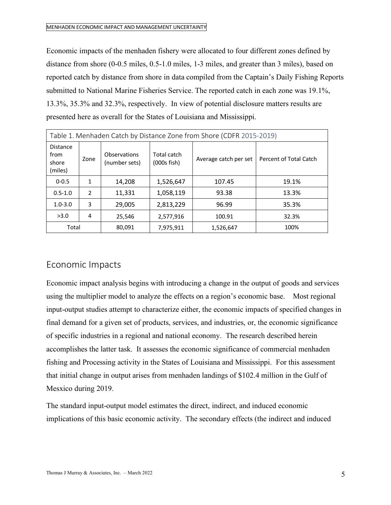Economic impacts of the menhaden fishery were allocated to four different zones defined by distance from shore (0-0.5 miles, 0.5-1.0 miles, 1-3 miles, and greater than 3 miles), based on reported catch by distance from shore in data compiled from the Captain's Daily Fishing Reports submitted to National Marine Fisheries Service. The reported catch in each zone was 19.1%, 13.3%, 35.3% and 32.3%, respectively. In view of potential disclosure matters results are presented here as overall for the States of Louisiana and Mississippi.

| Table 1. Menhaden Catch by Distance Zone from Shore (CDFR 2015-2019) |               |                               |                                 |                       |                        |
|----------------------------------------------------------------------|---------------|-------------------------------|---------------------------------|-----------------------|------------------------|
| <b>Distance</b><br>from<br>shore<br>(miles)                          | Zone          | Observations<br>(number sets) | Total catch<br>$(000s$ fish $)$ | Average catch per set | Percent of Total Catch |
| $0 - 0.5$                                                            | 1             | 14,208                        | 1,526,647                       | 107.45                | 19.1%                  |
| $0.5 - 1.0$                                                          | $\mathcal{P}$ | 11,331                        | 1,058,119                       | 93.38                 | 13.3%                  |
| $1.0 - 3.0$                                                          | 3             | 29.005                        | 2,813,229                       | 96.99                 | 35.3%                  |
| >3.0                                                                 | 4             | 25.546                        | 2,577,916                       | 100.91                | 32.3%                  |
| Total                                                                |               | 80,091                        | 7,975,911                       | 1,526,647             | 100%                   |

## Economic Impacts

Economic impact analysis begins with introducing a change in the output of goods and services using the multiplier model to analyze the effects on a region's economic base. Most regional input-output studies attempt to characterize either, the economic impacts of specified changes in final demand for a given set of products, services, and industries, or, the economic significance of specific industries in a regional and national economy. The research described herein accomplishes the latter task. It assesses the economic significance of commercial menhaden fishing and Processing activity in the States of Louisiana and Mississippi. For this assessment that initial change in output arises from menhaden landings of \$102.4 million in the Gulf of Mesxico during 2019.

The standard input-output model estimates the direct, indirect, and induced economic implications of this basic economic activity. The secondary effects (the indirect and induced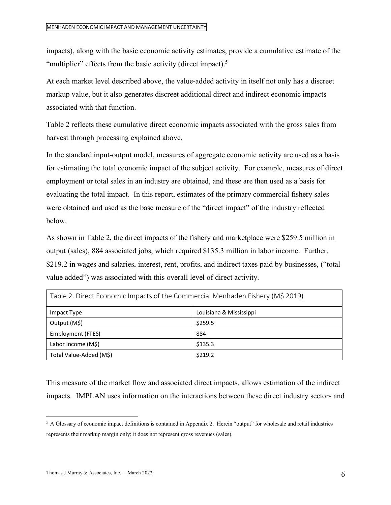impacts), along with the basic economic activity estimates, provide a cumulative estimate of the "multiplier" effects from the basic activity (direct impact).<sup>5</sup>

At each market level described above, the value-added activity in itself not only has a discreet markup value, but it also generates discreet additional direct and indirect economic impacts associated with that function.

Table 2 reflects these cumulative direct economic impacts associated with the gross sales from harvest through processing explained above.

In the standard input-output model, measures of aggregate economic activity are used as a basis for estimating the total economic impact of the subject activity. For example, measures of direct employment or total sales in an industry are obtained, and these are then used as a basis for evaluating the total impact. In this report, estimates of the primary commercial fishery sales were obtained and used as the base measure of the "direct impact" of the industry reflected below.

As shown in Table 2, the direct impacts of the fishery and marketplace were \$259.5 million in output (sales), 884 associated jobs, which required \$135.3 million in labor income. Further, \$219.2 in wages and salaries, interest, rent, profits, and indirect taxes paid by businesses, ("total value added") was associated with this overall level of direct activity.

| Table 2. Direct Economic Impacts of the Commercial Menhaden Fishery (M\$ 2019) |                         |  |  |
|--------------------------------------------------------------------------------|-------------------------|--|--|
| Impact Type                                                                    | Louisiana & Mississippi |  |  |
| Output (M\$)                                                                   | \$259.5                 |  |  |
| Employment (FTES)                                                              | 884                     |  |  |
| Labor Income (M\$)                                                             | \$135.3                 |  |  |
| Total Value-Added (M\$)                                                        | \$219.2                 |  |  |

This measure of the market flow and associated direct impacts, allows estimation of the indirect impacts. IMPLAN uses information on the interactions between these direct industry sectors and

 $<sup>5</sup>$  A Glossary of economic impact definitions is contained in Appendix 2. Herein "output" for wholesale and retail industries</sup> represents their markup margin only; it does not represent gross revenues (sales).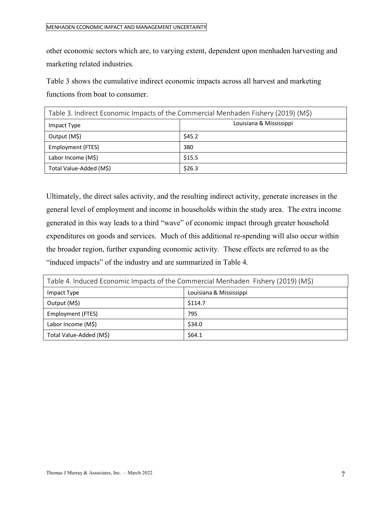other economic sectors which are, to varying extent, dependent upon menhaden harvesting and marketing related industries.

Table 3 shows the cumulative indirect economic impacts across all harvest and marketing functions from boat to consumer.

| Table 3. Indirect Economic Impacts of the Commercial Menhaden Fishery (2019) (M\$) |                         |  |  |
|------------------------------------------------------------------------------------|-------------------------|--|--|
| Impact Type                                                                        | Louisiana & Mississippi |  |  |
| Output (M\$)                                                                       | \$45.2                  |  |  |
| Employment (FTES)                                                                  | 380                     |  |  |
| Labor Income (M\$)                                                                 | \$15.5                  |  |  |
| Total Value-Added (M\$)                                                            | \$26.3                  |  |  |

Ultimately, the direct sales activity, and the resulting indirect activity, generate increases in the general level of employment and income in households within the study area. The extra income generated in this way leads to a third "wave" of economic impact through greater household expenditures on goods and services. Much of this additional re-spending will also occur within the broader region, further expanding economic activity. These effects are referred to as the "induced impacts" of the industry and are summarized in Table 4.

| Table 4. Induced Economic Impacts of the Commercial Menhaden Fishery (2019) (M\$) |                         |  |  |
|-----------------------------------------------------------------------------------|-------------------------|--|--|
| Impact Type                                                                       | Louisiana & Mississippi |  |  |
| Output (M\$)                                                                      | \$114.7                 |  |  |
| Employment (FTES)                                                                 | 795                     |  |  |
| Labor Income (M\$)                                                                | \$34.0                  |  |  |
| Total Value-Added (M\$)                                                           | \$64.1                  |  |  |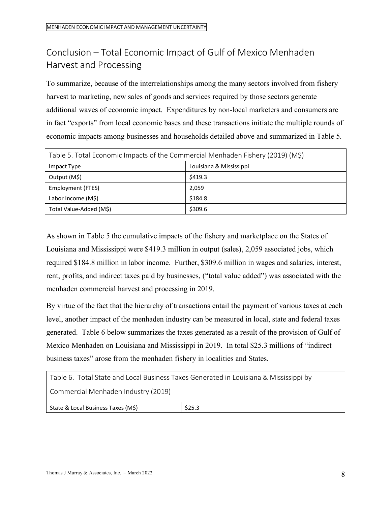# Conclusion – Total Economic Impact of Gulf of Mexico Menhaden Harvest and Processing

To summarize, because of the interrelationships among the many sectors involved from fishery harvest to marketing, new sales of goods and services required by those sectors generate additional waves of economic impact. Expenditures by non-local marketers and consumers are in fact "exports" from local economic bases and these transactions initiate the multiple rounds of economic impacts among businesses and households detailed above and summarized in Table 5.

| Table 5. Total Economic Impacts of the Commercial Menhaden Fishery (2019) (M\$) |                         |  |  |
|---------------------------------------------------------------------------------|-------------------------|--|--|
| Impact Type                                                                     | Louisiana & Mississippi |  |  |
| Output (M\$)                                                                    | \$419.3                 |  |  |
| Employment (FTES)                                                               | 2,059                   |  |  |
| Labor Income (M\$)                                                              | \$184.8                 |  |  |
| Total Value-Added (M\$)                                                         | \$309.6                 |  |  |

As shown in Table 5 the cumulative impacts of the fishery and marketplace on the States of Louisiana and Mississippi were \$419.3 million in output (sales), 2,059 associated jobs, which required \$184.8 million in labor income. Further, \$309.6 million in wages and salaries, interest, rent, profits, and indirect taxes paid by businesses, ("total value added") was associated with the menhaden commercial harvest and processing in 2019.

By virtue of the fact that the hierarchy of transactions entail the payment of various taxes at each level, another impact of the menhaden industry can be measured in local, state and federal taxes generated. Table 6 below summarizes the taxes generated as a result of the provision of Gulf of Mexico Menhaden on Louisiana and Mississippi in 2019. In total \$25.3 millions of "indirect business taxes" arose from the menhaden fishery in localities and States.

| Table 6. Total State and Local Business Taxes Generated in Louisiana & Mississippi by |        |  |  |
|---------------------------------------------------------------------------------------|--------|--|--|
| Commercial Menhaden Industry (2019)                                                   |        |  |  |
| State & Local Business Taxes (M\$)                                                    | \$25.3 |  |  |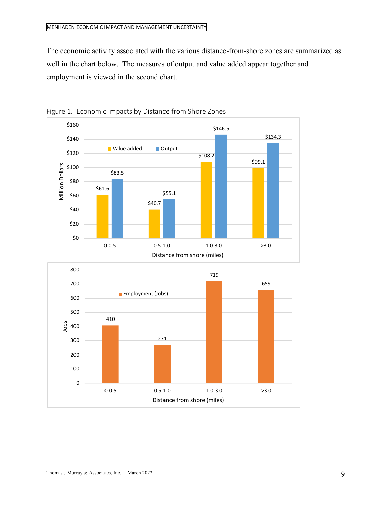The economic activity associated with the various distance-from-shore zones are summarized as well in the chart below. The measures of output and value added appear together and employment is viewed in the second chart.



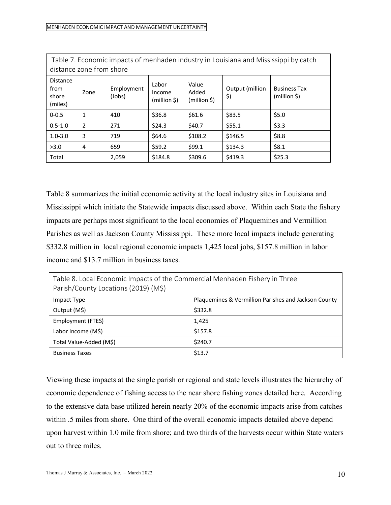| Table 7. Economic impacts of menhaden industry in Louisiana and Mississippi by catch<br>distance zone from shore |               |                      |                                 |                                |                        |                                        |
|------------------------------------------------------------------------------------------------------------------|---------------|----------------------|---------------------------------|--------------------------------|------------------------|----------------------------------------|
| <b>Distance</b><br>from<br>shore<br>(miles)                                                                      | Zone          | Employment<br>(Jobs) | Labor<br>Income<br>(million \$) | Value<br>Added<br>(million \$) | Output (million<br>\$) | <b>Business Tax</b><br>$(million \xi)$ |
| $0 - 0.5$                                                                                                        | 1             | 410                  | \$36.8                          | \$61.6                         | \$83.5                 | \$5.0                                  |
| $0.5 - 1.0$                                                                                                      | $\mathcal{P}$ | 271                  | \$24.3                          | \$40.7                         | \$55.1                 | \$3.3                                  |
| $1.0 - 3.0$                                                                                                      | 3             | 719                  | \$64.6                          | \$108.2                        | \$146.5                | \$8.8                                  |
| >3.0                                                                                                             | 4             | 659                  | \$59.2                          | \$99.1                         | \$134.3                | \$8.1                                  |
| Total                                                                                                            |               | 2,059                | \$184.8                         | \$309.6                        | \$419.3                | \$25.3                                 |

Table 8 summarizes the initial economic activity at the local industry sites in Louisiana and Mississippi which initiate the Statewide impacts discussed above. Within each State the fishery impacts are perhaps most significant to the local economies of Plaquemines and Vermillion Parishes as well as Jackson County Mississippi. These more local impacts include generating \$332.8 million in local regional economic impacts 1,425 local jobs, \$157.8 million in labor income and \$13.7 million in business taxes.

| Table 8. Local Economic Impacts of the Commercial Menhaden Fishery in Three<br>Parish/County Locations (2019) (M\$) |                                                      |  |
|---------------------------------------------------------------------------------------------------------------------|------------------------------------------------------|--|
| Impact Type                                                                                                         | Plaquemines & Vermillion Parishes and Jackson County |  |
| Output (M\$)                                                                                                        | \$332.8                                              |  |
| Employment (FTES)                                                                                                   | 1,425                                                |  |
| Labor Income (M\$)                                                                                                  | \$157.8                                              |  |
| Total Value-Added (M\$)                                                                                             | \$240.7                                              |  |
| <b>Business Taxes</b>                                                                                               | \$13.7                                               |  |

Viewing these impacts at the single parish or regional and state levels illustrates the hierarchy of economic dependence of fishing access to the near shore fishing zones detailed here. According to the extensive data base utilized herein nearly 20% of the economic impacts arise from catches within .5 miles from shore. One third of the overall economic impacts detailed above depend upon harvest within 1.0 mile from shore; and two thirds of the harvests occur within State waters out to three miles.